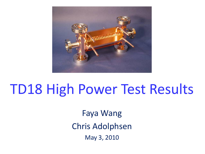

# TD18 High Power Test Results

Faya Wang Chris Adolphsen May 3, 2010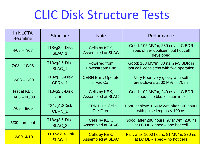# CLIC Disk Structure Tests

| In NLCTA<br><b>Beamline</b> | <b>Structure</b>        | <b>Note</b>                               | Performance                                                                        |  |  |
|-----------------------------|-------------------------|-------------------------------------------|------------------------------------------------------------------------------------|--|--|
| $4/08 - 7/08$               | T18vg2.6-Disk<br>SLAC_1 | Cells by KEK,<br><b>Assembled at SLAC</b> | Good: 105 MV/m, 230 ns at LC BDR<br>spec of 8e-7/pulse/m but hot cell<br>developed |  |  |
| $7/08 - 10/08$              | T18vg2.6-Disk           | Powered from                              | Good: 163 MV/m, 80 ns, 2e-5 BDR in                                                 |  |  |
|                             | SLAC <sub>1</sub>       | Downstream End                            | last cell, consistent with fwd operation                                           |  |  |
| $12/08 - 2/09$              | T18vg2.6-Disk           | <b>CERN Built, Operate</b>                | Very Poor: very gassy with soft                                                    |  |  |
|                             | CERN <sub>1</sub>       | in Vac Can                                | breakdowns at 60 MV/m, 70 ns                                                       |  |  |
| <b>Test at KEK</b>          | T18vg2.6-Disk           | Cells by KEK,                             | Good: 102 MV/m, 240 ns at LC BDR                                                   |  |  |
| $10/08 - 06/09$             | KEK <sub>1</sub>        | <b>Assembled at SLAC</b>                  | spec – no bkd location info                                                        |  |  |
| $7/09 - 8/09$               | T24vg1.8Disk            | <b>CERN Built, Cells</b>                  | Poor: achieve < 60 MV/m after 100 hours                                            |  |  |
|                             | CERN <sub>1</sub>       | <b>Pre-Fired</b>                          | with pulse lengths $<$ 100 ns                                                      |  |  |
| $5/09$ - present            | T18vg2.6-Disk           | Cells by KEK,                             | Good: after 280 hours, 97 MV/m, 230 ns                                             |  |  |
|                             | SLAC <sub>2</sub>       | <b>Assembled at SLAC</b>                  | at LC DBR spec – one hot cell                                                      |  |  |
| $12/09 - 4/10$              | TD18vg2.3-Disk          | Cells by KEK,                             | Fair: after 1000 hours, 81 MV/m, 230 ns                                            |  |  |
|                             | SLAC <sub>1</sub>       | <b>Assembled at SLAC</b>                  | at LC DBR spec – no hot cells                                                      |  |  |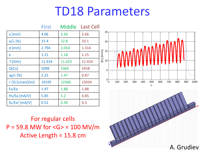## TD18 Parameters

|                           | First  | Middle | <b>Last Cell</b> |  |
|---------------------------|--------|--------|------------------|--|
| $a$ [mm]                  | 4.06   | 3.36   | 2.66             |  |
| $a/\lambda$ (%)           | 15.4   | 12.8   | 10.1             |  |
| $d$ [mm]                  | 2.794  | 2.054  | 1.314            |  |
| e                         | 1.21   | 1.18   | 1.15             |  |
| f[GHz]                    | 11.424 | 11.423 | 11.424           |  |
| Q(Cu)                     | 5098   | 5364   | 5458             |  |
| $vg/c$ [%]                | 2.25   | 1.47   | 0.87             |  |
| r'/Q [Linac $\Omega$ /m]  | 10195  | 12560  | 15034            |  |
| Es/Ea                     | 1.97   | 1.88   | 1.88             |  |
| $Hs/Ea$ [mA/V]            | 5.85   | 5.2    | 4.85             |  |
| Sc/Ea <sup>2</sup> [mA/V] | 0.52   | 0.39   | 0.3              |  |

For regular cells  $P = 59.8$  MW for  $\langle G \rangle = 100$  MV/m Active Length = 15.8 cm



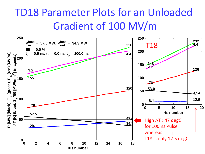### TD18 Parameter Plots for an Unloaded Gradient of 100 MV/m

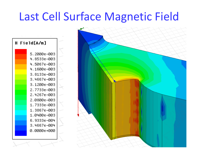## Last Cell Surface Magnetic Field



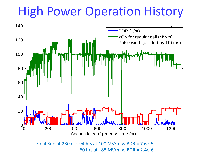# High Power Operation History

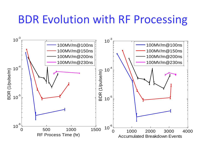### BDR Evolution with RF Processing

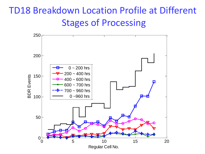### TD18 Breakdown Location Profile at Different Stages of Processing

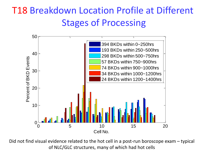### T18 Breakdown Location Profile at Different Stages of Processing



Did not find visual evidence related to the hot cell in a post-run boroscope exam – typical of NLC/GLC structures, many of which had hot cells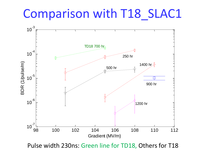# Comparison with T18\_SLAC1



Pulse width 230ns: Green line for TD18, Others for T18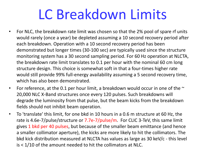# LC Breakdown Limits

- For NLC, the breakdown rate limit was chosen so that the 2% pool of spare rf units would rarely (once a year) be depleted assuming a 10 second recovery period after each breakdown. Operation with a 10 second recovery period has been demonstrated but longer times (30-100 sec) are typically used since the structure monitoring system has a 30 second sampling period. For 60 Hz operation at NLCTA, the breakdown rate limit translates to 0.1 per hour with the nominal 60 cm long structure design. This choice is somewhat soft in that a four-times higher rate would still provide 99% full-energy availability assuming a 5 second recovery time, which has also been demonstrated.
- For reference, at the 0.1 per hour limit, a breakdown would occur in one of the  $\sim$ 20,000 NLC X-Band structures once every 120 pulses. Such breakdowns will degrade the luminosity from that pulse, but the beam kicks from the breakdown fields should not inhibit beam operation.
- To 'translate' this limit, for one bkd in 10 hours in a 0.6 m structure at 60 Hz, the rate is 4.6e-7/pulse/structure or 7.7e-7/pulse/m. For CLIC 3-TeV, this same limit gives 1 bkd per 40 pulses, but because of the smaller beam emittance (and hence a smaller collimator aperture), the kicks are more likely to hit the collimators. The bkd kick distribution measured at NLCTA has values as large as 30 keV/c - this level  $is < 1/10$  of the amount needed to hit the collimators at NLC.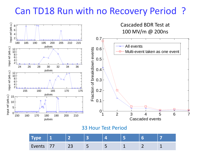#### Can TD18 Run with no Recovery Period ?



33 Hour Test Period

|        | . .           |                          |                          |                          |  |
|--------|---------------|--------------------------|--------------------------|--------------------------|--|
| Events | $\sim$<br>ر ے | $\overline{\phantom{a}}$ | $\overline{\phantom{0}}$ | $\overline{\phantom{a}}$ |  |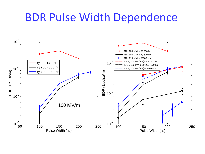### BDR Pulse Width Dependence

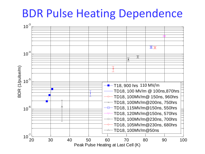### BDR Pulse Heating Dependence

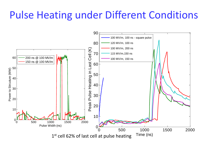### Pulse Heating under Different Conditions

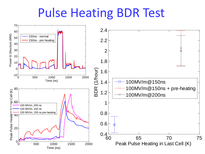# Pulse Heating BDR Test